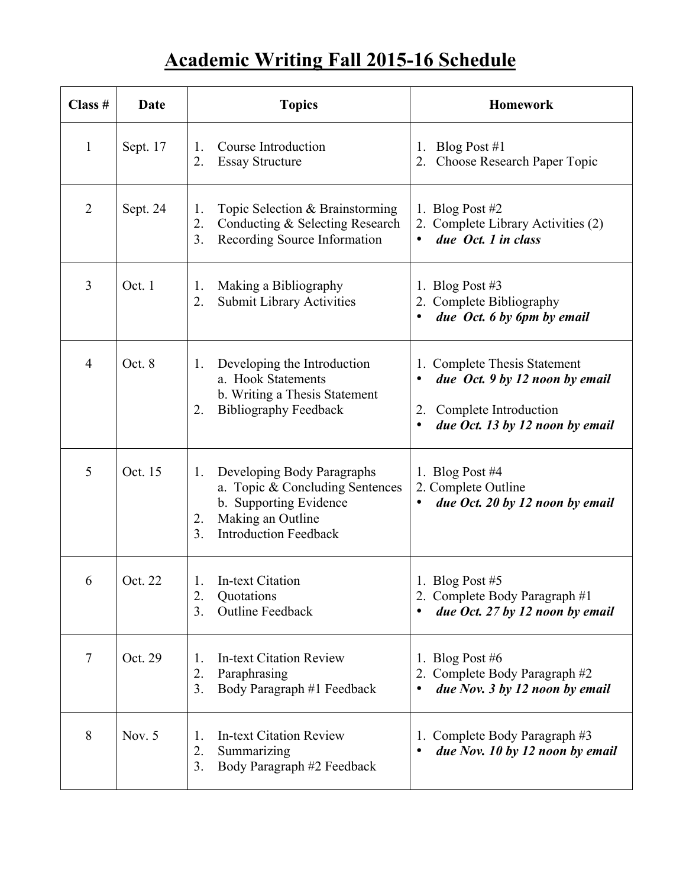## **Academic Writing Fall 2015-16 Schedule**

| Class #        | Date     | <b>Topics</b>                                                                                                                                                              | <b>Homework</b>                                                                                                                   |
|----------------|----------|----------------------------------------------------------------------------------------------------------------------------------------------------------------------------|-----------------------------------------------------------------------------------------------------------------------------------|
| $\mathbf{1}$   | Sept. 17 | Course Introduction<br>1.<br>2.<br><b>Essay Structure</b>                                                                                                                  | Blog Post $#1$<br>1.<br>2. Choose Research Paper Topic                                                                            |
| $\overline{2}$ | Sept. 24 | Topic Selection & Brainstorming<br>1.<br>2.<br>Conducting & Selecting Research<br>3 <sub>1</sub><br>Recording Source Information                                           | 1. Blog Post $#2$<br>Complete Library Activities (2)<br>2.<br>due Oct. 1 in class<br>$\bullet$                                    |
| 3              | Oct. 1   | Making a Bibliography<br>1.<br>Submit Library Activities<br>2.                                                                                                             | 1. Blog Post $#3$<br>2. Complete Bibliography<br>due Oct. 6 by 6pm by email                                                       |
| $\overline{4}$ | Oct. 8   | Developing the Introduction<br>1.<br>a. Hook Statements<br>b. Writing a Thesis Statement<br><b>Bibliography Feedback</b><br>2.                                             | <b>Complete Thesis Statement</b><br>due Oct. 9 by 12 noon by email<br>2. Complete Introduction<br>due Oct. 13 by 12 noon by email |
| 5              | Oct. 15  | Developing Body Paragraphs<br>1.<br>a. Topic & Concluding Sentences<br>b. Supporting Evidence<br>Making an Outline<br>2.<br>3 <sub>1</sub><br><b>Introduction Feedback</b> | 1. Blog Post $#4$<br>2. Complete Outline<br>due Oct. 20 by 12 noon by email<br>٠                                                  |
| 6              | Oct. 22  | In-text Citation<br>1.<br>2.<br>Quotations<br>3.<br><b>Outline Feedback</b>                                                                                                | 1. Blog Post $#5$<br>2. Complete Body Paragraph #1<br>due Oct. 27 by 12 noon by email                                             |
| $\tau$         | Oct. 29  | <b>In-text Citation Review</b><br>1.<br>2.<br>Paraphrasing<br>3.<br>Body Paragraph #1 Feedback                                                                             | 1. Blog Post #6<br>Complete Body Paragraph #2<br>due Nov. 3 by 12 noon by email                                                   |
| 8              | Nov. $5$ | <b>In-text Citation Review</b><br>1.<br>2.<br>Summarizing<br>3.<br>Body Paragraph #2 Feedback                                                                              | Complete Body Paragraph #3<br>due Nov. 10 by 12 noon by email                                                                     |